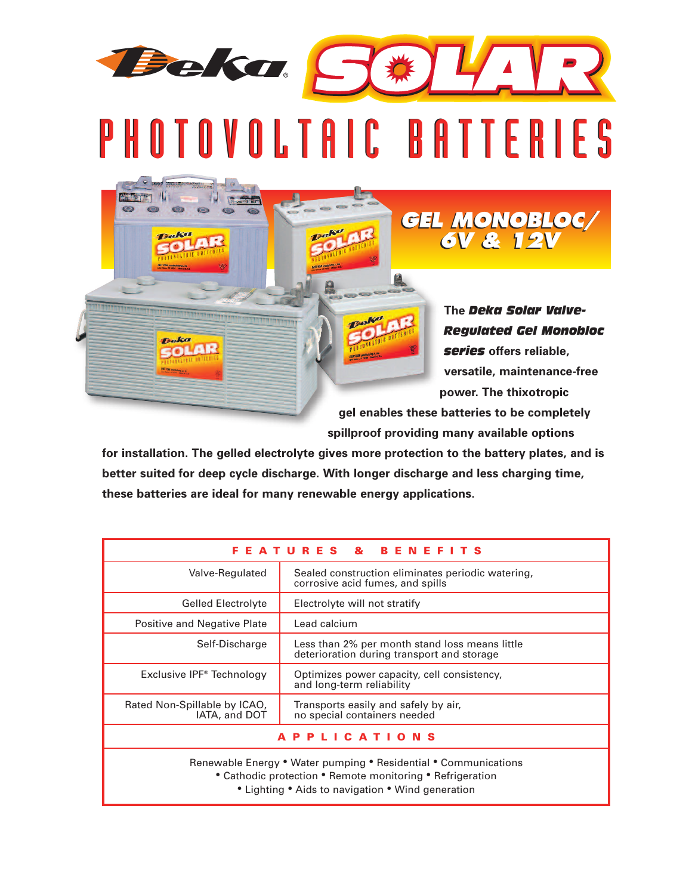PHOTOVOLTAIC BATTERIES

**Barbaran Iti** 

**Beka TALL** 

Deka OLAR

Beka S#IIIR

**The** *Deka Solar Valve-Regulated Gel Monobloc series* **offers reliable, versatile, maintenance-free power. The thixotropic**

*GEL MONOBLOC/ 6V & 12V GEL MONOBLOC/ 6V & 12V*

**gel enables these batteries to be completely spillproof providing many available options**

**for installation. The gelled electrolyte gives more protection to the battery plates, and is better suited for deep cycle discharge. With longer discharge and less charging time, these batteries are ideal for many renewable energy applications.**

Deka

| ATURES & BENEFITS<br>F.<br>Е.                                                                                                                                                     |                                                                                              |  |  |  |  |  |  |  |  |
|-----------------------------------------------------------------------------------------------------------------------------------------------------------------------------------|----------------------------------------------------------------------------------------------|--|--|--|--|--|--|--|--|
| Valve-Regulated                                                                                                                                                                   | Sealed construction eliminates periodic watering,<br>corrosive acid fumes, and spills        |  |  |  |  |  |  |  |  |
| <b>Gelled Electrolyte</b>                                                                                                                                                         | Electrolyte will not stratify                                                                |  |  |  |  |  |  |  |  |
| Positive and Negative Plate                                                                                                                                                       | Lead calcium                                                                                 |  |  |  |  |  |  |  |  |
| Self-Discharge                                                                                                                                                                    | Less than 2% per month stand loss means little<br>deterioration during transport and storage |  |  |  |  |  |  |  |  |
| Exclusive IPF <sup>®</sup> Technology                                                                                                                                             | Optimizes power capacity, cell consistency,<br>and long-term reliability                     |  |  |  |  |  |  |  |  |
| Rated Non-Spillable by ICAO,<br>IATA, and DOT                                                                                                                                     | Transports easily and safely by air,<br>no special containers needed                         |  |  |  |  |  |  |  |  |
| LICATIONS<br>P.                                                                                                                                                                   |                                                                                              |  |  |  |  |  |  |  |  |
| Renewable Energy • Water pumping • Residential • Communications<br>• Cathodic protection • Remote monitoring • Refrigeration<br>• Lighting • Aids to navigation • Wind generation |                                                                                              |  |  |  |  |  |  |  |  |